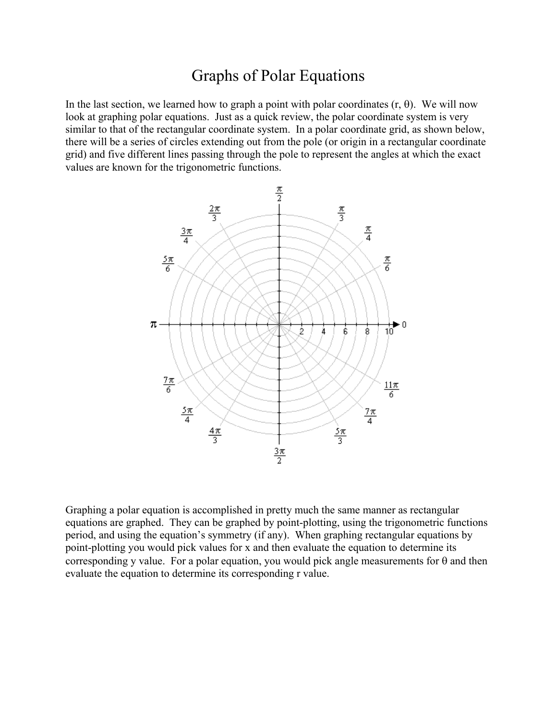# Graphs of Polar Equations

In the last section, we learned how to graph a point with polar coordinates  $(r, θ)$ . We will now look at graphing polar equations. Just as a quick review, the polar coordinate system is very similar to that of the rectangular coordinate system. In a polar coordinate grid, as shown below, there will be a series of circles extending out from the pole (or origin in a rectangular coordinate grid) and five different lines passing through the pole to represent the angles at which the exact values are known for the trigonometric functions.



Graphing a polar equation is accomplished in pretty much the same manner as rectangular equations are graphed. They can be graphed by point-plotting, using the trigonometric functions period, and using the equation's symmetry (if any). When graphing rectangular equations by point-plotting you would pick values for x and then evaluate the equation to determine its corresponding y value. For a polar equation, you would pick angle measurements for  $\theta$  and then evaluate the equation to determine its corresponding r value.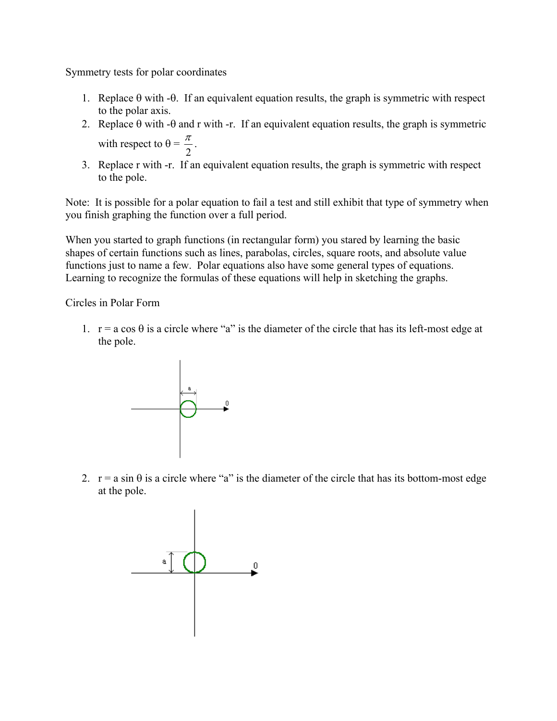Symmetry tests for polar coordinates

- 1. Replace  $\theta$  with - $\theta$ . If an equivalent equation results, the graph is symmetric with respect to the polar axis.
- 2. Replace  $\theta$  with - $\theta$  and r with -r. If an equivalent equation results, the graph is symmetric with respect to  $\theta =$ 2  $\frac{\pi}{2}$ .
- 3. Replace r with -r. If an equivalent equation results, the graph is symmetric with respect to the pole.

Note: It is possible for a polar equation to fail a test and still exhibit that type of symmetry when you finish graphing the function over a full period.

When you started to graph functions (in rectangular form) you stared by learning the basic shapes of certain functions such as lines, parabolas, circles, square roots, and absolute value functions just to name a few. Polar equations also have some general types of equations. Learning to recognize the formulas of these equations will help in sketching the graphs.

Circles in Polar Form

1.  $r = a \cos \theta$  is a circle where "a" is the diameter of the circle that has its left-most edge at the pole.



2.  $r = a \sin \theta$  is a circle where "a" is the diameter of the circle that has its bottom-most edge at the pole.

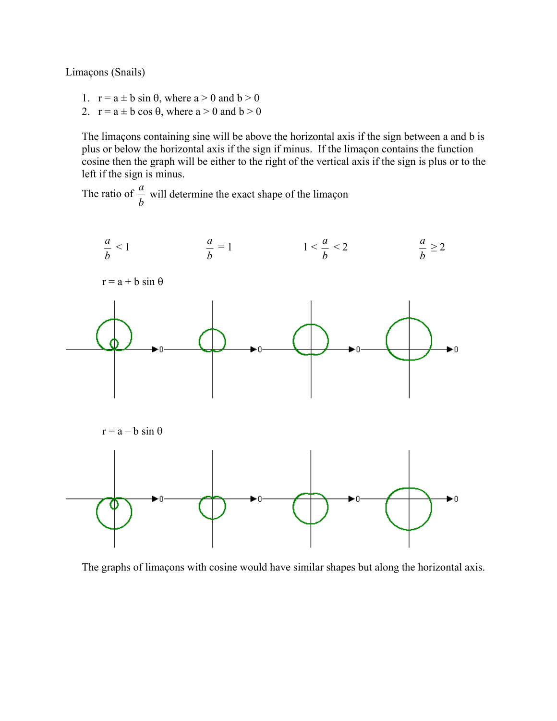Limaçons (Snails)

- 1.  $r = a \pm b \sin \theta$ , where  $a > 0$  and  $b > 0$
- 2.  $r = a \pm b \cos \theta$ , where  $a > 0$  and  $b > 0$

 The limaçons containing sine will be above the horizontal axis if the sign between a and b is plus or below the horizontal axis if the sign if minus. If the limaçon contains the function cosine then the graph will be either to the right of the vertical axis if the sign is plus or to the left if the sign is minus.

The ratio of  $\frac{a}{b}$  will determine the exact shape of the limaçon



The graphs of limaçons with cosine would have similar shapes but along the horizontal axis.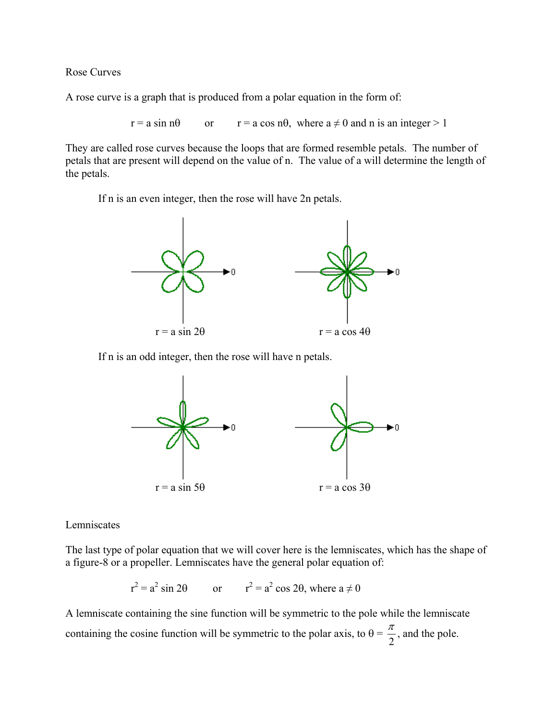Rose Curves

A rose curve is a graph that is produced from a polar equation in the form of:

 $r = a \sin n\theta$  or  $r = a \cos n\theta$ , where  $a \neq 0$  and n is an integer > 1

They are called rose curves because the loops that are formed resemble petals. The number of petals that are present will depend on the value of n. The value of a will determine the length of the petals.

If n is an even integer, then the rose will have 2n petals.



If n is an odd integer, then the rose will have n petals.



Lemniscates

The last type of polar equation that we will cover here is the lemniscates, which has the shape of a figure-8 or a propeller. Lemniscates have the general polar equation of:

 $r^2 = a^2 \sin 2\theta$  or  $r^2 = a^2 \cos 2\theta$ , where  $a \neq 0$ 

A lemniscate containing the sine function will be symmetric to the pole while the lemniscate containing the cosine function will be symmetric to the polar axis, to  $\theta$  = 2  $\frac{\pi}{2}$ , and the pole.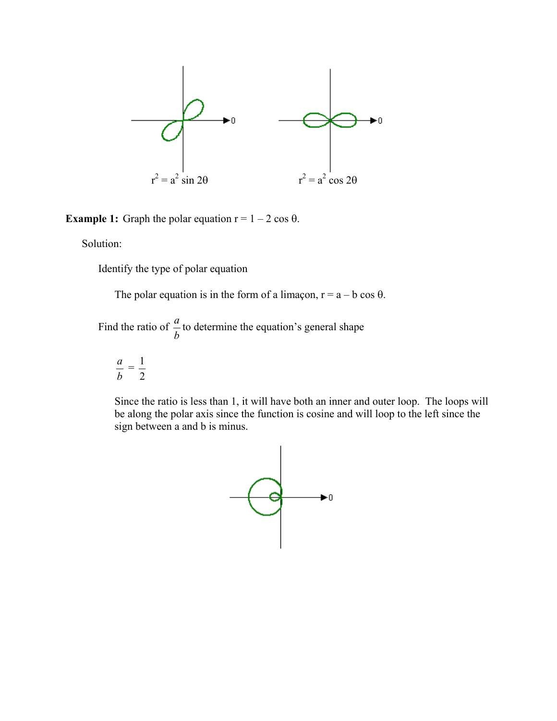

**Example 1:** Graph the polar equation  $r = 1 - 2 \cos \theta$ .

Solution:

Identify the type of polar equation

The polar equation is in the form of a limaçon,  $r = a - b \cos \theta$ .

Find the ratio of  $\frac{a}{b}$  to determine the equation's general shape

$$
\frac{a}{b}=\frac{1}{2}
$$

 Since the ratio is less than 1, it will have both an inner and outer loop. The loops will be along the polar axis since the function is cosine and will loop to the left since the sign between a and b is minus.

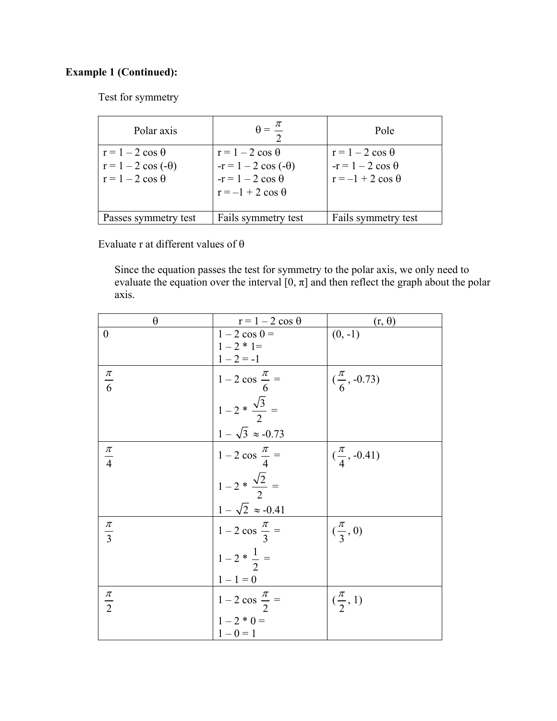## **Example 1 (Continued):**

Test for symmetry

| Polar axis                | $\theta = \frac{\pi}{4}$   | Pole                     |
|---------------------------|----------------------------|--------------------------|
| $r = 1 - 2 \cos \theta$   | $r = 1 - 2 \cos \theta$    | $r = 1 - 2 \cos \theta$  |
| $r = 1 - 2 \cos(-\theta)$ | $-r = 1 - 2 \cos(-\theta)$ | $-r = 1 - 2 \cos \theta$ |
| $r = 1 - 2 \cos \theta$   | $-r = 1 - 2 \cos \theta$   | $r = -1 + 2 \cos \theta$ |
|                           | $r = -1 + 2 \cos \theta$   |                          |
|                           |                            |                          |
| Passes symmetry test      | Fails symmetry test        | Fails symmetry test      |

Evaluate r at different values of θ

 Since the equation passes the test for symmetry to the polar axis, we only need to evaluate the equation over the interval  $[0, \pi]$  and then reflect the graph about the polar axis.

| $\theta$         | $r = 1 - 2 \cos \theta$                                                                      | $(r, \theta)$            |
|------------------|----------------------------------------------------------------------------------------------|--------------------------|
| $\boldsymbol{0}$ | $1 - 2 \cos 0 =$                                                                             | $(0, -1)$                |
|                  | $1-2 * 1=$                                                                                   |                          |
|                  | $1 - 2 = -1$                                                                                 |                          |
| $\frac{\pi}{6}$  | $\begin{vmatrix} 1-2 \cos \frac{\pi}{6} = \\ 1-2 * \frac{\sqrt{3}}{2} = \end{vmatrix}$       | $(\frac{\pi}{6}, -0.73)$ |
|                  |                                                                                              |                          |
|                  | $1 - \sqrt{3} \approx -0.73$                                                                 |                          |
| $\frac{\pi}{4}$  | $1-2 \cos \frac{\pi}{4} =$<br>$1-2 \cdot \frac{\sqrt{2}}{2} =$<br>$1-\sqrt{2} \approx -0.41$ | $(\frac{\pi}{4}, -0.41)$ |
|                  |                                                                                              |                          |
|                  |                                                                                              |                          |
| $rac{\pi}{3}$    | $1-2 \cos \frac{\pi}{3} =$                                                                   | $(\frac{\pi}{3},0)$      |
|                  | $1-2*\frac{1}{2}=$                                                                           |                          |
|                  | $1 - 1 = 0$                                                                                  |                          |
| $\frac{\pi}{2}$  | $1 - 2 \cos \frac{\pi}{2} =$                                                                 | $(\frac{\pi}{2}, 1)$     |
|                  | $1-2 * 0 =$                                                                                  |                          |
|                  | $1 - 0 = 1$                                                                                  |                          |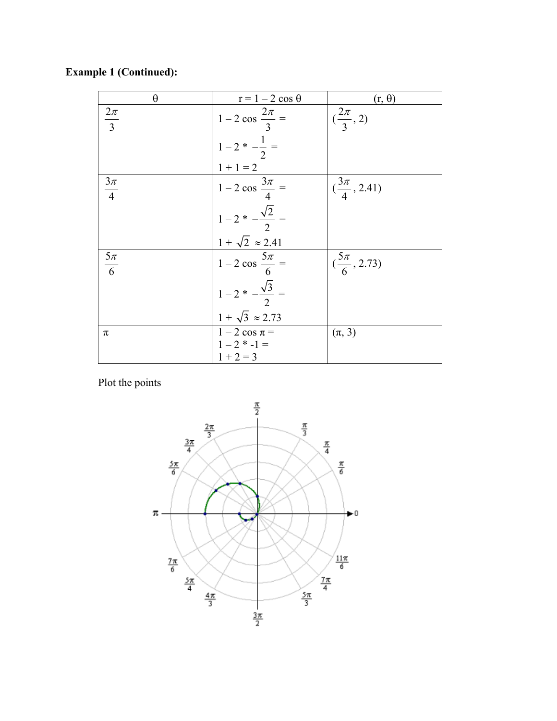| $\theta$         | $r = 1 - 2 \cos \theta$                                         | $(r, \theta)$            |
|------------------|-----------------------------------------------------------------|--------------------------|
| $\frac{2\pi}{3}$ | $1-2 \cos \frac{2\pi}{3} =$                                     | $(\frac{2\pi}{3}, 2)$    |
|                  | $1-2$ * $-\frac{1}{2}$ =                                        |                          |
|                  | $1 + 1 = 2$                                                     |                          |
| $\frac{3\pi}{4}$ | $1 - 2 \cos \frac{3\pi}{4} =$                                   | $(\frac{3\pi}{4}, 2.41)$ |
|                  | $1-2$ * $-\frac{\sqrt{2}}{2}$ =                                 |                          |
|                  |                                                                 |                          |
| $\frac{5\pi}{6}$ | $\frac{1 + \sqrt{2} \approx 2.41}{1 - 2 \cos \frac{5\pi}{6}} =$ | $(\frac{5\pi}{6}, 2.73)$ |
|                  | $1-2$ * $-\frac{\sqrt{3}}{2}$ =                                 |                          |
|                  | $1 + \sqrt{3} \approx 2.73$                                     |                          |
| π                | $1-2 \cos \pi =$                                                | $(\pi, 3)$               |
|                  | $1-2$ * $-1=$                                                   |                          |
|                  | $1 + 2 = 3$                                                     |                          |

**Example 1 (Continued):** 

Plot the points

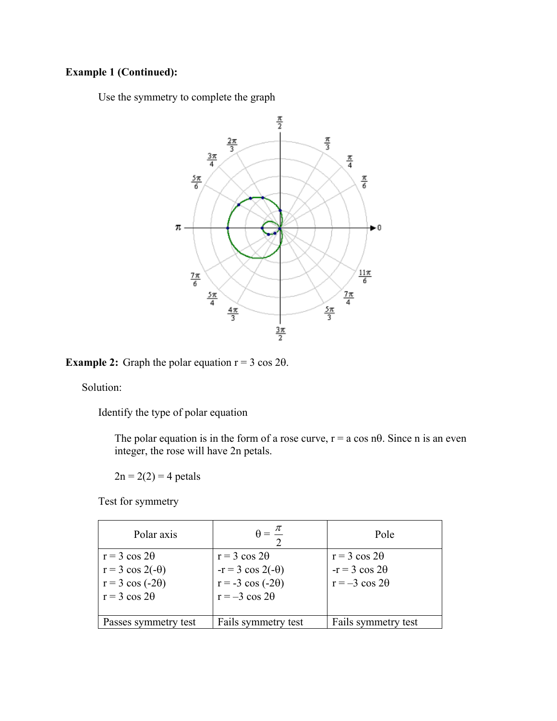#### **Example 1 (Continued):**

Use the symmetry to complete the graph

![](_page_7_Figure_2.jpeg)

**Example 2:** Graph the polar equation  $r = 3 \cos 2\theta$ .

Solution:

Identify the type of polar equation

The polar equation is in the form of a rose curve,  $r = a \cos n\theta$ . Since n is an even integer, the rose will have 2n petals.

 $2n = 2(2) = 4$  petals

Test for symmetry

| Polar axis              |                          | Pole                  |
|-------------------------|--------------------------|-----------------------|
| $r = 3 \cos 2\theta$    | $r = 3 \cos 2\theta$     | $r = 3 \cos 2\theta$  |
| $r = 3 \cos 2(-\theta)$ | $-r = 3 \cos 2(-\theta)$ | $-r = 3 \cos 2\theta$ |
| $r = 3 \cos (-2\theta)$ | $r = -3 \cos (-2\theta)$ | $r = -3 \cos 2\theta$ |
| $r = 3 \cos 2\theta$    | $r = -3 \cos 2\theta$    |                       |
|                         |                          |                       |
| Passes symmetry test    | Fails symmetry test      | Fails symmetry test   |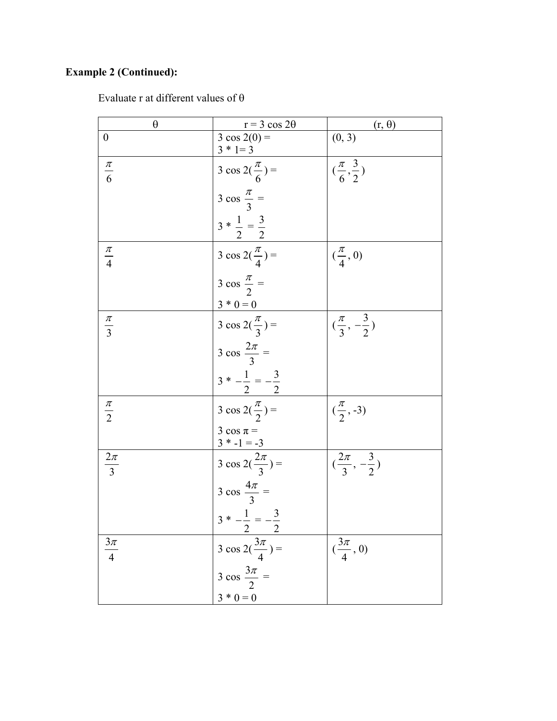## **Example 2 (Continued):**

| Evaluate r at different values of $\theta$ |  |  |  |  |  |
|--------------------------------------------|--|--|--|--|--|
|--------------------------------------------|--|--|--|--|--|

| $\theta$         | $r = 3 \cos 2\theta$              | $(r, \theta)$                    |
|------------------|-----------------------------------|----------------------------------|
| $\boldsymbol{0}$ | $3 \cos 2(0) =$<br>$3 * 1 = 3$    | (0, 3)                           |
| $\frac{\pi}{6}$  | $3 \cos 2(\frac{\pi}{6}) =$       | $(\frac{\pi}{6}, \frac{3}{2})$   |
|                  | $3 \cos \frac{\pi}{3} =$          |                                  |
|                  | $3 * \frac{1}{2} = \frac{3}{2}$   |                                  |
| $\frac{\pi}{4}$  | $3 \cos 2(\frac{\pi}{4}) =$       | $(\frac{\pi}{4},0)$              |
|                  | $3 \cos \frac{\pi}{2} =$          |                                  |
|                  | $3 * 0 = 0$                       |                                  |
| $rac{\pi}{3}$    | $3 \cos 2(\frac{\pi}{3}) =$       | $(\frac{\pi}{3}, -\frac{3}{2})$  |
|                  | $3 \cos \frac{2\pi}{3} =$         |                                  |
|                  | $3 * -\frac{1}{2} = -\frac{3}{2}$ |                                  |
| $\frac{\pi}{2}$  | $3 \cos 2(\frac{\pi}{2}) =$       | $(\frac{\pi}{2}, -3)$            |
|                  | $3 \cos \pi =$<br>$3 * -1 = -3$   |                                  |
| $\frac{2\pi}{3}$ | $3 \cos 2(\frac{2\pi}{3}) =$      | $(\frac{2\pi}{3}, -\frac{3}{2})$ |
|                  | $3 \cos \frac{4\pi}{3} =$         |                                  |
|                  | $3 * -\frac{1}{2} = -\frac{3}{2}$ |                                  |
| $\frac{3\pi}{4}$ | $3 \cos 2(\frac{3\pi}{4}) =$      | $(\frac{3\pi}{4}, 0)$            |
|                  | $3 \cos \frac{3\pi}{2} =$         |                                  |
|                  | $3 * 0 = 0$                       |                                  |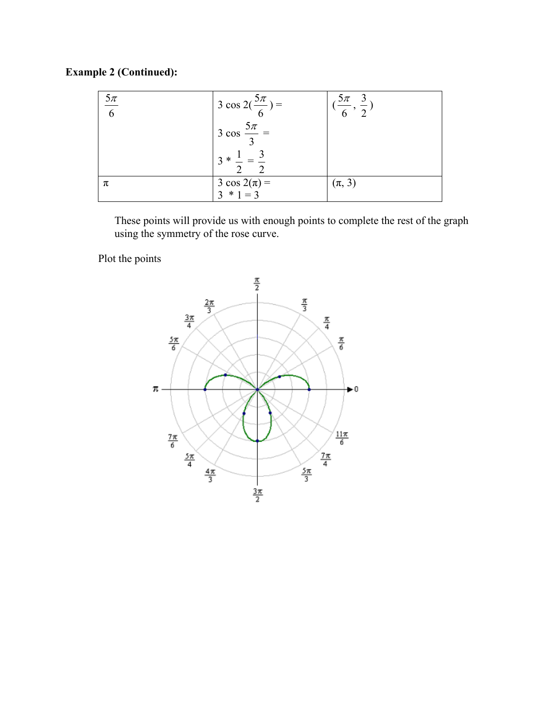## **Example 2 (Continued):**

| $\frac{5\pi}{6}$ | $1 \text{ 3 cos } 2(\frac{5\pi}{6}) =$ | $5\pi$     |
|------------------|----------------------------------------|------------|
|                  | $3 \cos \frac{5\pi}{2}$                |            |
|                  | $3 * 1$<br>$\bigcap$                   |            |
| π                | $3 \cos 2(\pi) =$                      | $(\pi, 3)$ |
|                  | $3 * 1 = 3$                            |            |

 These points will provide us with enough points to complete the rest of the graph using the symmetry of the rose curve.

Plot the points

![](_page_9_Figure_4.jpeg)